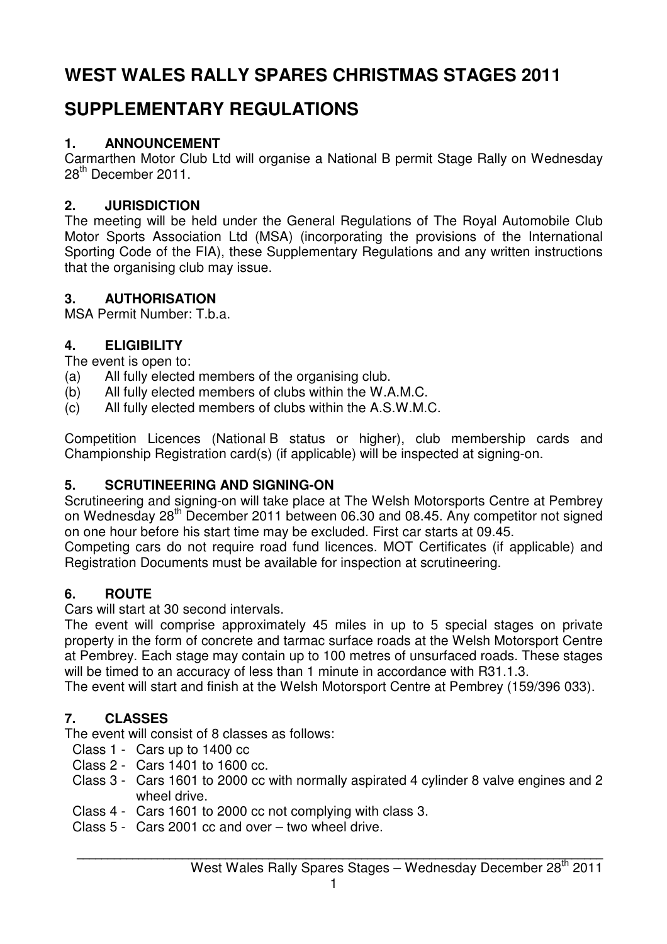# **WEST WALES RALLY SPARES CHRISTMAS STAGES 2011**

# **SUPPLEMENTARY REGULATIONS**

#### **1. ANNOUNCEMENT**

Carmarthen Motor Club Ltd will organise a National B permit Stage Rally on Wednesday 28<sup>th</sup> December 2011.

#### **2. JURISDICTION**

The meeting will be held under the General Regulations of The Royal Automobile Club Motor Sports Association Ltd (MSA) (incorporating the provisions of the International Sporting Code of the FIA), these Supplementary Regulations and any written instructions that the organising club may issue.

#### **3. AUTHORISATION**

MSA Permit Number: T.b.a.

#### **4. ELIGIBILITY**

The event is open to:

- (a) All fully elected members of the organising club.
- (b) All fully elected members of clubs within the W.A.M.C.
- (c) All fully elected members of clubs within the A.S.W.M.C.

Competition Licences (National B status or higher), club membership cards and Championship Registration card(s) (if applicable) will be inspected at signing-on.

## **5. SCRUTINEERING AND SIGNING-ON**

Scrutineering and signing-on will take place at The Welsh Motorsports Centre at Pembrey on Wednesday 28<sup>th</sup> December 2011 between 06.30 and 08.45. Any competitor not signed on one hour before his start time may be excluded. First car starts at 09.45.

Competing cars do not require road fund licences. MOT Certificates (if applicable) and Registration Documents must be available for inspection at scrutineering.

## **6. ROUTE**

Cars will start at 30 second intervals.

The event will comprise approximately 45 miles in up to 5 special stages on private property in the form of concrete and tarmac surface roads at the Welsh Motorsport Centre at Pembrey. Each stage may contain up to 100 metres of unsurfaced roads. These stages will be timed to an accuracy of less than 1 minute in accordance with R31.1.3.

The event will start and finish at the Welsh Motorsport Centre at Pembrey (159/396 033).

## **7. CLASSES**

The event will consist of 8 classes as follows:

- Class 1 Cars up to 1400 cc
- Class 2 Cars 1401 to 1600 cc.
- Class 3 Cars 1601 to 2000 cc with normally aspirated 4 cylinder 8 valve engines and 2 wheel drive.
- Class 4 Cars 1601 to 2000 cc not complying with class 3.
- Class 5 Cars 2001 cc and over two wheel drive.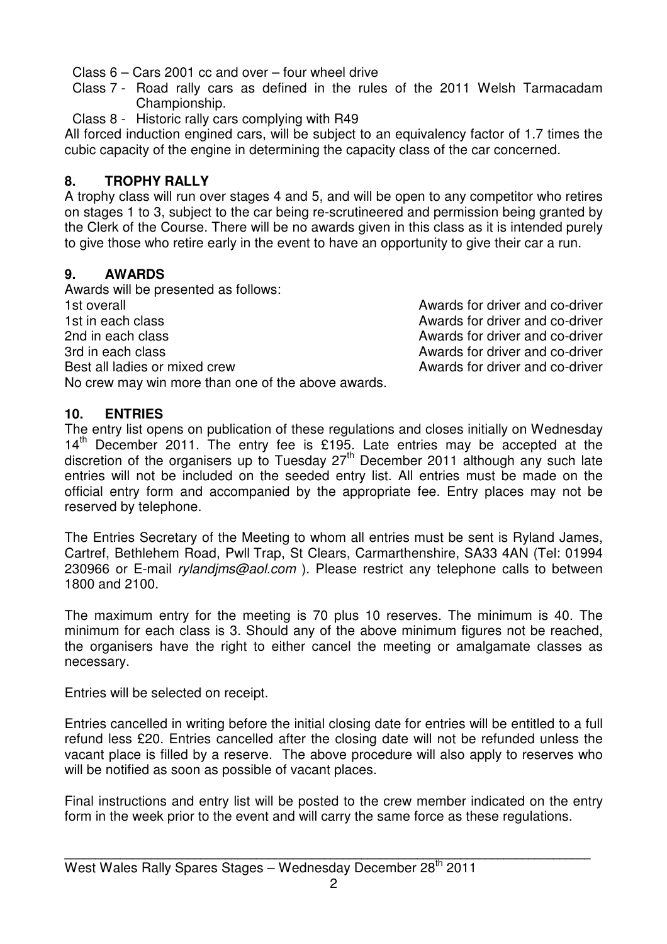Class 6 – Cars 2001 cc and over – four wheel drive

- Class 7 Road rally cars as defined in the rules of the 2011 Welsh Tarmacadam Championship.
- Class 8 Historic rally cars complying with R49

All forced induction engined cars, will be subject to an equivalency factor of 1.7 times the cubic capacity of the engine in determining the capacity class of the car concerned.

#### **8. TROPHY RALLY**

A trophy class will run over stages 4 and 5, and will be open to any competitor who retires on stages 1 to 3, subject to the car being re-scrutineered and permission being granted by the Clerk of the Course. There will be no awards given in this class as it is intended purely to give those who retire early in the event to have an opportunity to give their car a run.

#### **9. AWARDS**

Awards will be presented as follows: 1st overall Awards for driver and co-driver 1st in each class **Awards** for driver and co-driver 2nd in each class **Awards for driver and co-driver** 2nd in each class 3rd in each class **Awards for driver and co-driver Awards** for driver and co-driver Best all ladies or mixed crew and co-driver and co-driver No crew may win more than one of the above awards.

#### **10. ENTRIES**

The entry list opens on publication of these regulations and closes initially on Wednesday  $14<sup>th</sup>$  December 2011. The entry fee is £195. Late entries may be accepted at the discretion of the organisers up to Tuesday 27<sup>th</sup> December 2011 although any such late entries will not be included on the seeded entry list. All entries must be made on the official entry form and accompanied by the appropriate fee. Entry places may not be reserved by telephone.

The Entries Secretary of the Meeting to whom all entries must be sent is Ryland James, Cartref, Bethlehem Road, Pwll Trap, St Clears, Carmarthenshire, SA33 4AN (Tel: 01994 230966 or E-mail rylandims@aol.com). Please restrict any telephone calls to between 1800 and 2100.

The maximum entry for the meeting is 70 plus 10 reserves. The minimum is 40. The minimum for each class is 3. Should any of the above minimum figures not be reached, the organisers have the right to either cancel the meeting or amalgamate classes as necessary.

Entries will be selected on receipt.

Entries cancelled in writing before the initial closing date for entries will be entitled to a full refund less £20. Entries cancelled after the closing date will not be refunded unless the vacant place is filled by a reserve. The above procedure will also apply to reserves who will be notified as soon as possible of vacant places.

Final instructions and entry list will be posted to the crew member indicated on the entry form in the week prior to the event and will carry the same force as these regulations.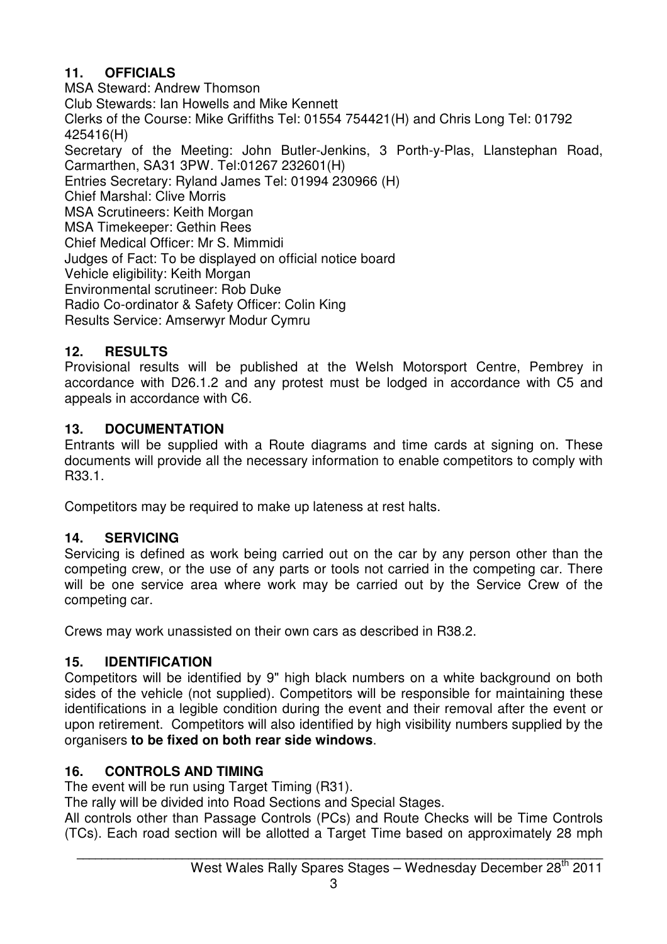## **11. OFFICIALS**

MSA Steward: Andrew Thomson Club Stewards: Ian Howells and Mike Kennett Clerks of the Course: Mike Griffiths Tel: 01554 754421(H) and Chris Long Tel: 01792 425416(H) Secretary of the Meeting: John Butler-Jenkins, 3 Porth-y-Plas, Llanstephan Road, Carmarthen, SA31 3PW. Tel:01267 232601(H) Entries Secretary: Ryland James Tel: 01994 230966 (H) Chief Marshal: Clive Morris MSA Scrutineers: Keith Morgan MSA Timekeeper: Gethin Rees Chief Medical Officer: Mr S. Mimmidi Judges of Fact: To be displayed on official notice board Vehicle eligibility: Keith Morgan Environmental scrutineer: Rob Duke Radio Co-ordinator & Safety Officer: Colin King Results Service: Amserwyr Modur Cymru

## **12. RESULTS**

Provisional results will be published at the Welsh Motorsport Centre, Pembrey in accordance with D26.1.2 and any protest must be lodged in accordance with C5 and appeals in accordance with C6.

#### **13. DOCUMENTATION**

Entrants will be supplied with a Route diagrams and time cards at signing on. These documents will provide all the necessary information to enable competitors to comply with R33.1.

Competitors may be required to make up lateness at rest halts.

## **14. SERVICING**

Servicing is defined as work being carried out on the car by any person other than the competing crew, or the use of any parts or tools not carried in the competing car. There will be one service area where work may be carried out by the Service Crew of the competing car.

Crews may work unassisted on their own cars as described in R38.2.

## **15. IDENTIFICATION**

Competitors will be identified by 9" high black numbers on a white background on both sides of the vehicle (not supplied). Competitors will be responsible for maintaining these identifications in a legible condition during the event and their removal after the event or upon retirement. Competitors will also identified by high visibility numbers supplied by the organisers **to be fixed on both rear side windows**.

#### **16. CONTROLS AND TIMING**

The event will be run using Target Timing (R31).

The rally will be divided into Road Sections and Special Stages.

All controls other than Passage Controls (PCs) and Route Checks will be Time Controls (TCs). Each road section will be allotted a Target Time based on approximately 28 mph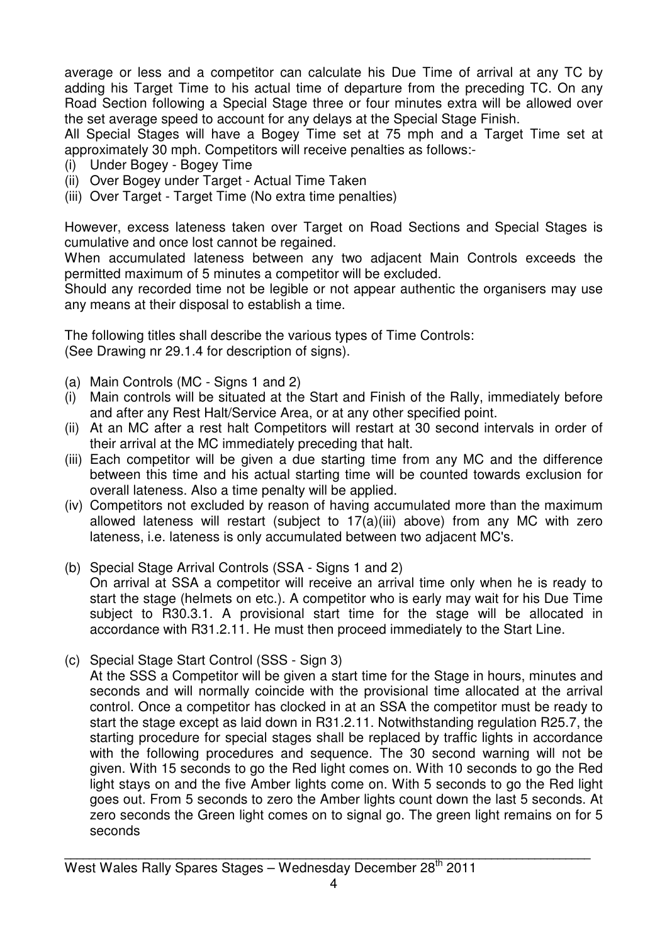average or less and a competitor can calculate his Due Time of arrival at any TC by adding his Target Time to his actual time of departure from the preceding TC. On any Road Section following a Special Stage three or four minutes extra will be allowed over the set average speed to account for any delays at the Special Stage Finish.

All Special Stages will have a Bogey Time set at 75 mph and a Target Time set at approximately 30 mph. Competitors will receive penalties as follows:-

- (i) Under Bogey Bogey Time
- (ii) Over Bogey under Target Actual Time Taken
- (iii) Over Target Target Time (No extra time penalties)

However, excess lateness taken over Target on Road Sections and Special Stages is cumulative and once lost cannot be regained.

When accumulated lateness between any two adjacent Main Controls exceeds the permitted maximum of 5 minutes a competitor will be excluded.

Should any recorded time not be legible or not appear authentic the organisers may use any means at their disposal to establish a time.

The following titles shall describe the various types of Time Controls: (See Drawing nr 29.1.4 for description of signs).

- (a) Main Controls (MC Signs 1 and 2)
- (i) Main controls will be situated at the Start and Finish of the Rally, immediately before and after any Rest Halt/Service Area, or at any other specified point.
- (ii) At an MC after a rest halt Competitors will restart at 30 second intervals in order of their arrival at the MC immediately preceding that halt.
- (iii) Each competitor will be given a due starting time from any MC and the difference between this time and his actual starting time will be counted towards exclusion for overall lateness. Also a time penalty will be applied.
- (iv) Competitors not excluded by reason of having accumulated more than the maximum allowed lateness will restart (subject to 17(a)(iii) above) from any MC with zero lateness, i.e. lateness is only accumulated between two adjacent MC's.
- (b) Special Stage Arrival Controls (SSA Signs 1 and 2) On arrival at SSA a competitor will receive an arrival time only when he is ready to start the stage (helmets on etc.). A competitor who is early may wait for his Due Time subject to R30.3.1. A provisional start time for the stage will be allocated in accordance with R31.2.11. He must then proceed immediately to the Start Line.
- (c) Special Stage Start Control (SSS Sign 3)

At the SSS a Competitor will be given a start time for the Stage in hours, minutes and seconds and will normally coincide with the provisional time allocated at the arrival control. Once a competitor has clocked in at an SSA the competitor must be ready to start the stage except as laid down in R31.2.11. Notwithstanding regulation R25.7, the starting procedure for special stages shall be replaced by traffic lights in accordance with the following procedures and sequence. The 30 second warning will not be given. With 15 seconds to go the Red light comes on. With 10 seconds to go the Red light stays on and the five Amber lights come on. With 5 seconds to go the Red light goes out. From 5 seconds to zero the Amber lights count down the last 5 seconds. At zero seconds the Green light comes on to signal go. The green light remains on for 5 seconds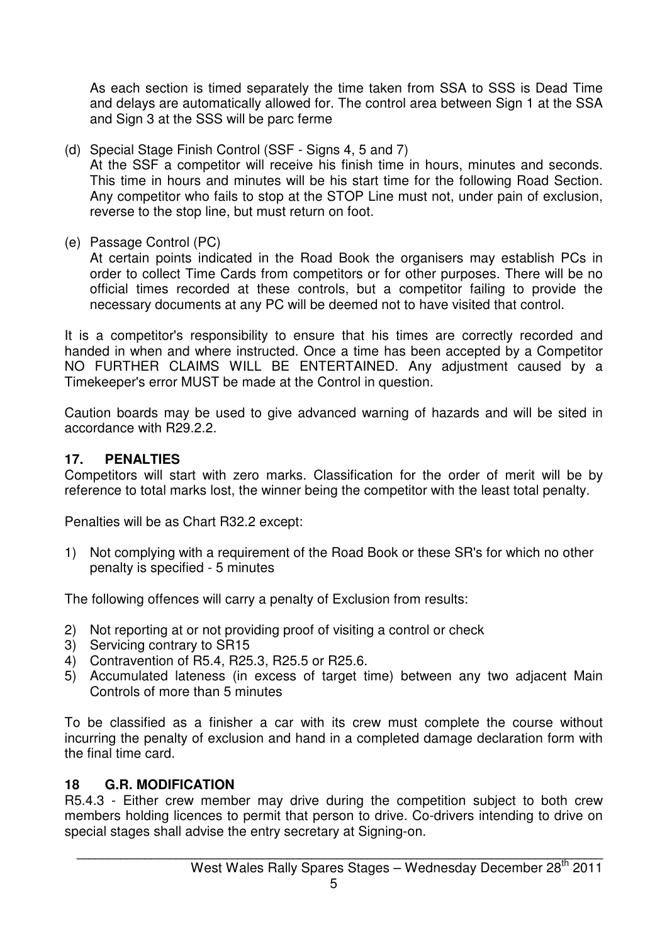As each section is timed separately the time taken from SSA to SSS is Dead Time and delays are automatically allowed for. The control area between Sign 1 at the SSA and Sign 3 at the SSS will be parc ferme

(d) Special Stage Finish Control (SSF - Signs 4, 5 and 7)

 At the SSF a competitor will receive his finish time in hours, minutes and seconds. This time in hours and minutes will be his start time for the following Road Section. Any competitor who fails to stop at the STOP Line must not, under pain of exclusion, reverse to the stop line, but must return on foot.

(e) Passage Control (PC)

 At certain points indicated in the Road Book the organisers may establish PCs in order to collect Time Cards from competitors or for other purposes. There will be no official times recorded at these controls, but a competitor failing to provide the necessary documents at any PC will be deemed not to have visited that control.

It is a competitor's responsibility to ensure that his times are correctly recorded and handed in when and where instructed. Once a time has been accepted by a Competitor NO FURTHER CLAIMS WILL BE ENTERTAINED. Any adjustment caused by a Timekeeper's error MUST be made at the Control in question.

Caution boards may be used to give advanced warning of hazards and will be sited in accordance with R29.2.2.

#### **17. PENALTIES**

Competitors will start with zero marks. Classification for the order of merit will be by reference to total marks lost, the winner being the competitor with the least total penalty.

Penalties will be as Chart R32.2 except:

1) Not complying with a requirement of the Road Book or these SR's for which no other penalty is specified - 5 minutes

The following offences will carry a penalty of Exclusion from results:

- 2) Not reporting at or not providing proof of visiting a control or check
- 3) Servicing contrary to SR15
- 4) Contravention of R5.4, R25.3, R25.5 or R25.6.
- 5) Accumulated lateness (in excess of target time) between any two adjacent Main Controls of more than 5 minutes

To be classified as a finisher a car with its crew must complete the course without incurring the penalty of exclusion and hand in a completed damage declaration form with the final time card.

#### **18 G.R. MODIFICATION**

R5.4.3 - Either crew member may drive during the competition subject to both crew members holding licences to permit that person to drive. Co-drivers intending to drive on special stages shall advise the entry secretary at Signing-on.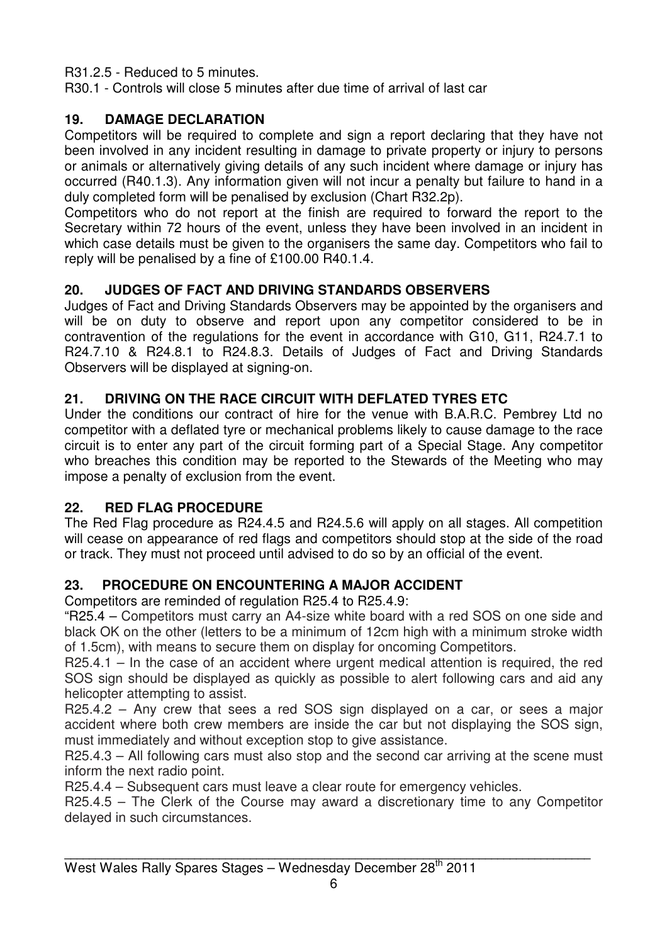R31.2.5 - Reduced to 5 minutes.

R30.1 - Controls will close 5 minutes after due time of arrival of last car

#### **19. DAMAGE DECLARATION**

Competitors will be required to complete and sign a report declaring that they have not been involved in any incident resulting in damage to private property or injury to persons or animals or alternatively giving details of any such incident where damage or injury has occurred (R40.1.3). Any information given will not incur a penalty but failure to hand in a duly completed form will be penalised by exclusion (Chart R32.2p).

Competitors who do not report at the finish are required to forward the report to the Secretary within 72 hours of the event, unless they have been involved in an incident in which case details must be given to the organisers the same day. Competitors who fail to reply will be penalised by a fine of £100.00 R40.1.4.

#### **20. JUDGES OF FACT AND DRIVING STANDARDS OBSERVERS**

Judges of Fact and Driving Standards Observers may be appointed by the organisers and will be on duty to observe and report upon any competitor considered to be in contravention of the regulations for the event in accordance with G10, G11, R24.7.1 to R24.7.10 & R24.8.1 to R24.8.3. Details of Judges of Fact and Driving Standards Observers will be displayed at signing-on.

#### **21. DRIVING ON THE RACE CIRCUIT WITH DEFLATED TYRES ETC**

Under the conditions our contract of hire for the venue with B.A.R.C. Pembrey Ltd no competitor with a deflated tyre or mechanical problems likely to cause damage to the race circuit is to enter any part of the circuit forming part of a Special Stage. Any competitor who breaches this condition may be reported to the Stewards of the Meeting who may impose a penalty of exclusion from the event.

#### **22. RED FLAG PROCEDURE**

The Red Flag procedure as R24.4.5 and R24.5.6 will apply on all stages. All competition will cease on appearance of red flags and competitors should stop at the side of the road or track. They must not proceed until advised to do so by an official of the event.

#### **23. PROCEDURE ON ENCOUNTERING A MAJOR ACCIDENT**

Competitors are reminded of regulation R25.4 to R25.4.9:

"R25.4 – Competitors must carry an A4-size white board with a red SOS on one side and black OK on the other (letters to be a minimum of 12cm high with a minimum stroke width of 1.5cm), with means to secure them on display for oncoming Competitors.

R25.4.1 – In the case of an accident where urgent medical attention is required, the red SOS sign should be displayed as quickly as possible to alert following cars and aid any helicopter attempting to assist.

R25.4.2 – Any crew that sees a red SOS sign displayed on a car, or sees a major accident where both crew members are inside the car but not displaying the SOS sign, must immediately and without exception stop to give assistance.

R25.4.3 – All following cars must also stop and the second car arriving at the scene must inform the next radio point.

R25.4.4 – Subsequent cars must leave a clear route for emergency vehicles.

R25.4.5 – The Clerk of the Course may award a discretionary time to any Competitor delayed in such circumstances.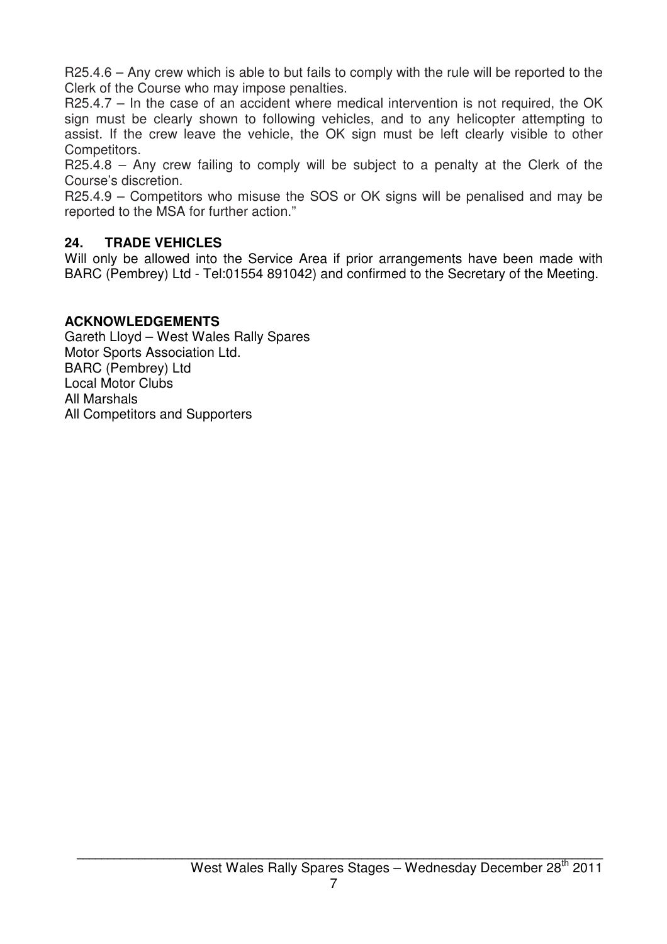R25.4.6 – Any crew which is able to but fails to comply with the rule will be reported to the Clerk of the Course who may impose penalties.

R25.4.7 – In the case of an accident where medical intervention is not required, the OK sign must be clearly shown to following vehicles, and to any helicopter attempting to assist. If the crew leave the vehicle, the OK sign must be left clearly visible to other Competitors.

R25.4.8 – Any crew failing to comply will be subject to a penalty at the Clerk of the Course's discretion.

R25.4.9 – Competitors who misuse the SOS or OK signs will be penalised and may be reported to the MSA for further action."

#### **24. TRADE VEHICLES**

Will only be allowed into the Service Area if prior arrangements have been made with BARC (Pembrey) Ltd - Tel:01554 891042) and confirmed to the Secretary of the Meeting.

#### **ACKNOWLEDGEMENTS**

Gareth Lloyd – West Wales Rally Spares Motor Sports Association Ltd. BARC (Pembrey) Ltd Local Motor Clubs All Marshals All Competitors and Supporters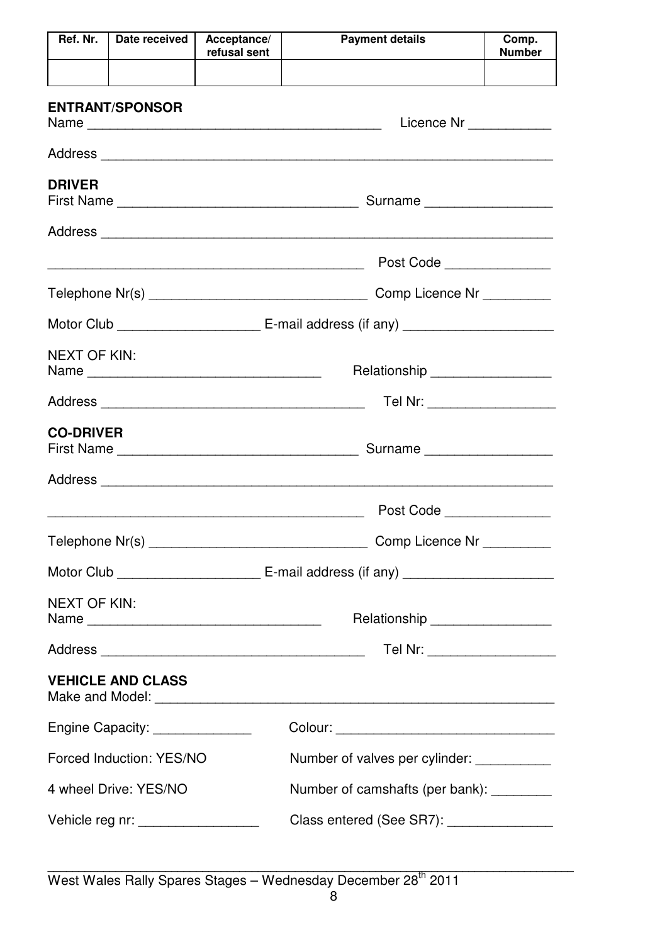| Ref. Nr.                     | Date received                                                                                                       | Acceptance/<br>refusal sent                | <b>Payment details</b>                   | Comp.<br><b>Number</b> |  |  |
|------------------------------|---------------------------------------------------------------------------------------------------------------------|--------------------------------------------|------------------------------------------|------------------------|--|--|
|                              |                                                                                                                     |                                            |                                          |                        |  |  |
|                              | <b>ENTRANT/SPONSOR</b>                                                                                              |                                            | Licence Nr _____________                 |                        |  |  |
|                              |                                                                                                                     |                                            |                                          |                        |  |  |
| <b>DRIVER</b>                |                                                                                                                     |                                            |                                          |                        |  |  |
|                              |                                                                                                                     |                                            |                                          |                        |  |  |
|                              | <u> 1980 - Johann Barn, mars ann an t-Amhain ann an t-Amhain an t-Amhain ann an t-Amhain an t-Amhain ann an t-A</u> |                                            | Post Code                                |                        |  |  |
|                              |                                                                                                                     |                                            | Comp Licence Nr __________               |                        |  |  |
|                              |                                                                                                                     |                                            |                                          |                        |  |  |
|                              | <b>NEXT OF KIN:</b><br>Relationship __________________                                                              |                                            |                                          |                        |  |  |
| Tel Nr: ____________________ |                                                                                                                     |                                            |                                          |                        |  |  |
| <b>CO-DRIVER</b>             |                                                                                                                     |                                            |                                          |                        |  |  |
|                              |                                                                                                                     |                                            |                                          |                        |  |  |
|                              |                                                                                                                     |                                            | Post Code                                |                        |  |  |
|                              |                                                                                                                     |                                            | Comp Licence Nr __________               |                        |  |  |
|                              |                                                                                                                     |                                            |                                          |                        |  |  |
| <b>NEXT OF KIN:</b>          |                                                                                                                     |                                            | Relationship __________________          |                        |  |  |
|                              |                                                                                                                     |                                            | Tel Nr: ___________________              |                        |  |  |
|                              | <b>VEHICLE AND CLASS</b>                                                                                            |                                            |                                          |                        |  |  |
|                              | Engine Capacity: _______________                                                                                    |                                            |                                          |                        |  |  |
|                              | Forced Induction: YES/NO                                                                                            | Number of valves per cylinder: ___________ |                                          |                        |  |  |
|                              | 4 wheel Drive: YES/NO<br>Number of camshafts (per bank): ________                                                   |                                            |                                          |                        |  |  |
|                              | Vehicle reg nr: ___________________                                                                                 |                                            | Class entered (See SR7): _______________ |                        |  |  |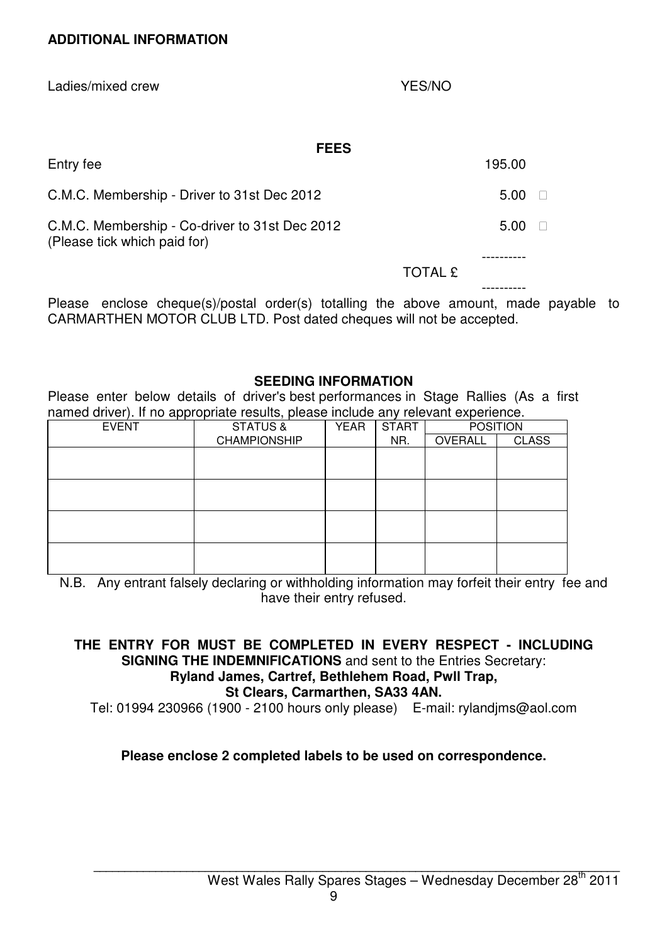Ladies/mixed crew YES/NO

| <b>FEES</b>                                                                    |                |        |
|--------------------------------------------------------------------------------|----------------|--------|
| Entry fee                                                                      |                | 195.00 |
| C.M.C. Membership - Driver to 31st Dec 2012                                    |                | 5.00   |
| C.M.C. Membership - Co-driver to 31st Dec 2012<br>(Please tick which paid for) |                | 5.00   |
|                                                                                | <b>TOTAL £</b> |        |
|                                                                                |                |        |

Please enclose cheque(s)/postal order(s) totalling the above amount, made payable to CARMARTHEN MOTOR CLUB LTD. Post dated cheques will not be accepted.

#### **SEEDING INFORMATION**

Please enter below details of driver's best performances in Stage Rallies (As a first named driver). If no appropriate results, please include any relevant experience.

| . .          | $\overline{\phantom{a}}$ |             |              |                 |              |
|--------------|--------------------------|-------------|--------------|-----------------|--------------|
| <b>EVENT</b> | <b>STATUS &amp;</b>      | <b>YEAR</b> | <b>START</b> | <b>POSITION</b> |              |
|              | <b>CHAMPIONSHIP</b>      |             | NR.          | OVERALL         | <b>CLASS</b> |
|              |                          |             |              |                 |              |
|              |                          |             |              |                 |              |
|              |                          |             |              |                 |              |
|              |                          |             |              |                 |              |
|              |                          |             |              |                 |              |
|              |                          |             |              |                 |              |
|              |                          |             |              |                 |              |
|              |                          |             |              |                 |              |
|              |                          |             |              |                 |              |
|              |                          |             |              |                 |              |

N.B. Any entrant falsely declaring or withholding information may forfeit their entry fee and have their entry refused.

#### **THE ENTRY FOR MUST BE COMPLETED IN EVERY RESPECT - INCLUDING SIGNING THE INDEMNIFICATIONS** and sent to the Entries Secretary: **Ryland James, Cartref, Bethlehem Road, Pwll Trap, St Clears, Carmarthen, SA33 4AN.**

Tel: 01994 230966 (1900 - 2100 hours only please) E-mail: rylandjms@aol.com

#### **Please enclose 2 completed labels to be used on correspondence.**